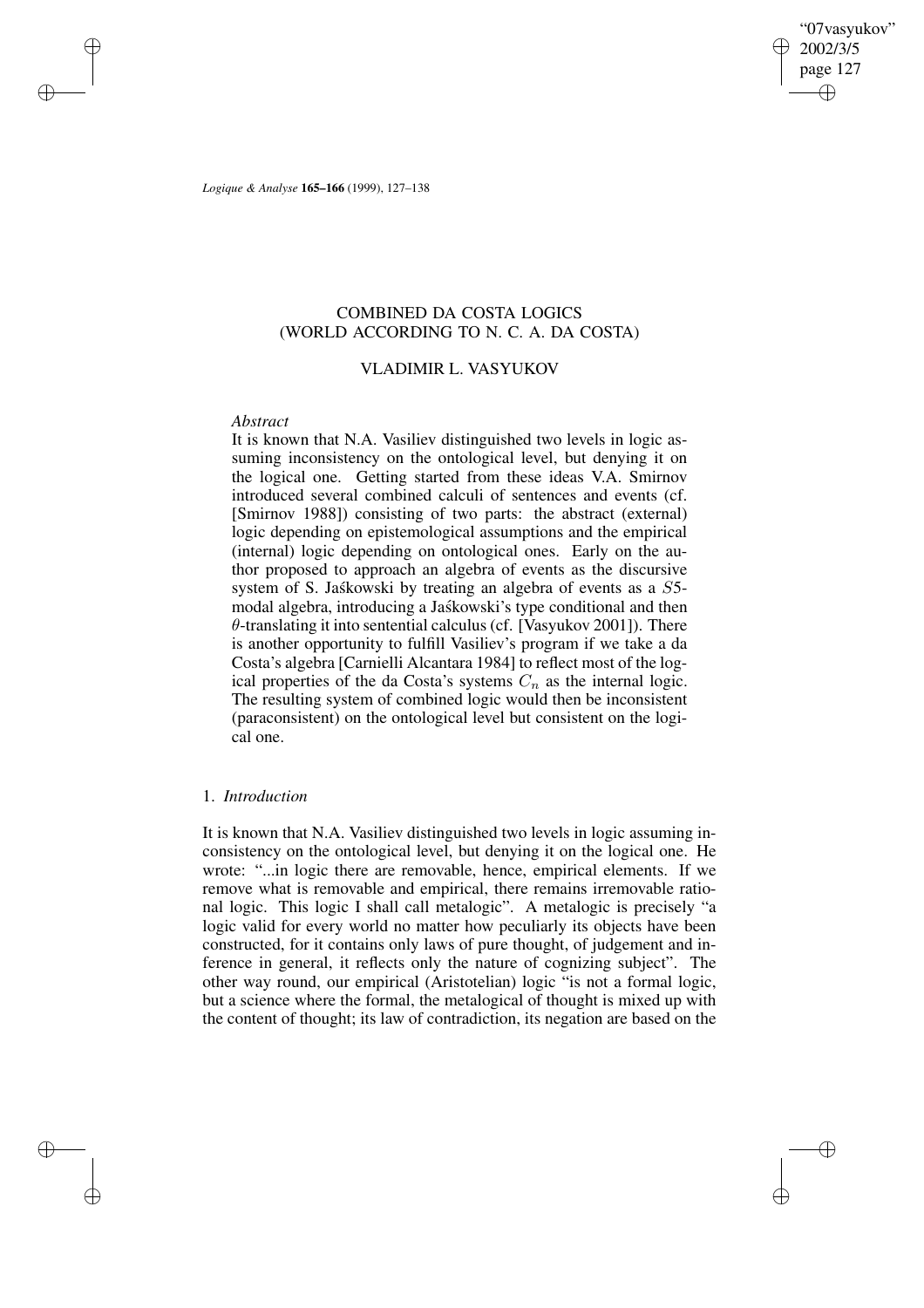"07vasyukov" 2002/3/5 page 127 ✐ ✐

✐

✐

*Logique & Analyse* **165–166** (1999), 127–138

# COMBINED DA COSTA LOGICS (WORLD ACCORDING TO N. C. A. DA COSTA)

## VLADIMIR L. VASYUKOV

### *Abstract*

✐

✐

✐

✐

It is known that N.A. Vasiliev distinguished two levels in logic assuming inconsistency on the ontological level, but denying it on the logical one. Getting started from these ideas V.A. Smirnov introduced several combined calculi of sentences and events (cf. [Smirnov 1988]) consisting of two parts: the abstract (external) logic depending on epistemological assumptions and the empirical (internal) logic depending on ontological ones. Early on the author proposed to approach an algebra of events as the discursive system of S. Jaskowski by treating an algebra of events as a S5modal algebra, introducing a Jaśkowski's type conditional and then  $\theta$ -translating it into sentential calculus (cf. [Vasyukov 2001]). There is another opportunity to fulfill Vasiliev's program if we take a da Costa's algebra [Carnielli Alcantara 1984] to reflect most of the logical properties of the da Costa's systems  $C_n$  as the internal logic. The resulting system of combined logic would then be inconsistent (paraconsistent) on the ontological level but consistent on the logical one.

### 1. *Introduction*

It is known that N.A. Vasiliev distinguished two levels in logic assuming inconsistency on the ontological level, but denying it on the logical one. He wrote: "...in logic there are removable, hence, empirical elements. If we remove what is removable and empirical, there remains irremovable rational logic. This logic I shall call metalogic". A metalogic is precisely "a logic valid for every world no matter how peculiarly its objects have been constructed, for it contains only laws of pure thought, of judgement and inference in general, it reflects only the nature of cognizing subject". The other way round, our empirical (Aristotelian) logic "is not a formal logic, but a science where the formal, the metalogical of thought is mixed up with the content of thought; its law of contradiction, its negation are based on the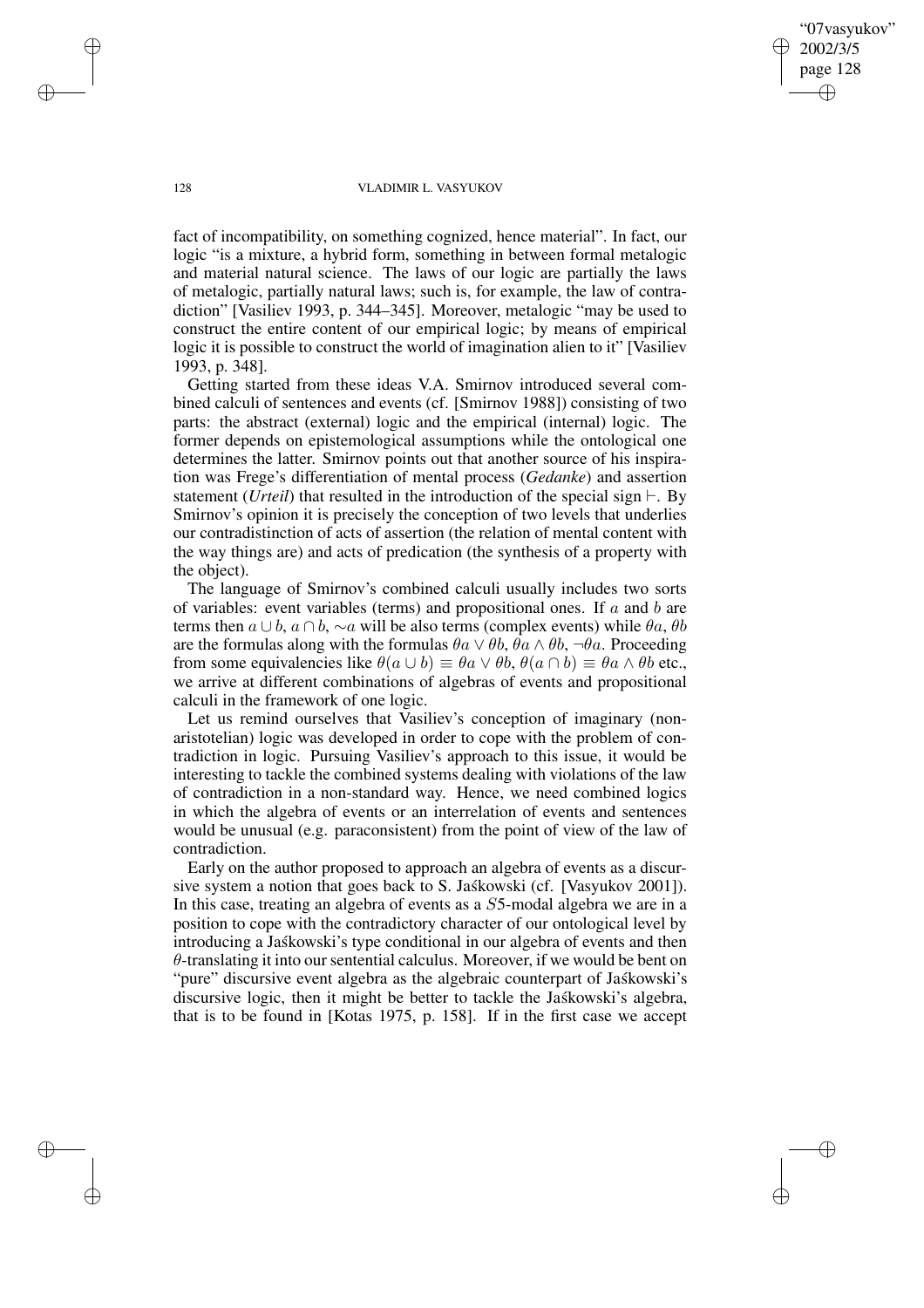2002/3/5 page 128 ✐ ✐

✐

✐

"07vasyukov"

#### 128 VLADIMIR L. VASYUKOV

fact of incompatibility, on something cognized, hence material". In fact, our logic "is a mixture, a hybrid form, something in between formal metalogic and material natural science. The laws of our logic are partially the laws of metalogic, partially natural laws; such is, for example, the law of contradiction" [Vasiliev 1993, p. 344–345]. Moreover, metalogic "may be used to construct the entire content of our empirical logic; by means of empirical logic it is possible to construct the world of imagination alien to it" [Vasiliev 1993, p. 348].

Getting started from these ideas V.A. Smirnov introduced several combined calculi of sentences and events (cf. [Smirnov 1988]) consisting of two parts: the abstract (external) logic and the empirical (internal) logic. The former depends on epistemological assumptions while the ontological one determines the latter. Smirnov points out that another source of his inspiration was Frege's differentiation of mental process (*Gedanke*) and assertion statement (*Urteil*) that resulted in the introduction of the special sign  $\vdash$ . By Smirnov's opinion it is precisely the conception of two levels that underlies our contradistinction of acts of assertion (the relation of mental content with the way things are) and acts of predication (the synthesis of a property with the object).

The language of Smirnov's combined calculi usually includes two sorts of variables: event variables (terms) and propositional ones. If  $a$  and  $b$  are terms then  $a \cup b$ ,  $a \cap b$ ,  $\sim a$  will be also terms (complex events) while  $\theta a$ ,  $\theta b$ are the formulas along with the formulas  $\theta a \vee \theta b$ ,  $\theta a \wedge \theta b$ ,  $\neg \theta a$ . Proceeding from some equivalencies like  $\theta(a \cup b) \equiv \theta a \vee \theta b$ ,  $\theta(a \cap b) \equiv \theta a \wedge \theta b$  etc., we arrive at different combinations of algebras of events and propositional calculi in the framework of one logic.

Let us remind ourselves that Vasiliev's conception of imaginary (nonaristotelian) logic was developed in order to cope with the problem of contradiction in logic. Pursuing Vasiliev's approach to this issue, it would be interesting to tackle the combined systems dealing with violations of the law of contradiction in a non-standard way. Hence, we need combined logics in which the algebra of events or an interrelation of events and sentences would be unusual (e.g. paraconsistent) from the point of view of the law of contradiction.

Early on the author proposed to approach an algebra of events as a discursive system a notion that goes back to S. Jaskowski (cf. [Vasyukov 2001]). In this case, treating an algebra of events as a S5-modal algebra we are in a position to cope with the contradictory character of our ontological level by introducing a Jaskowski's type conditional in our algebra of events and then  $\theta$ -translating it into our sentential calculus. Moreover, if we would be bent on "pure" discursive event algebra as the algebraic counterpart of Jaskowski's discursive logic, then it might be better to tackle the Jaskowski's algebra, that is to be found in [Kotas 1975, p. 158]. If in the first case we accept

✐

✐

✐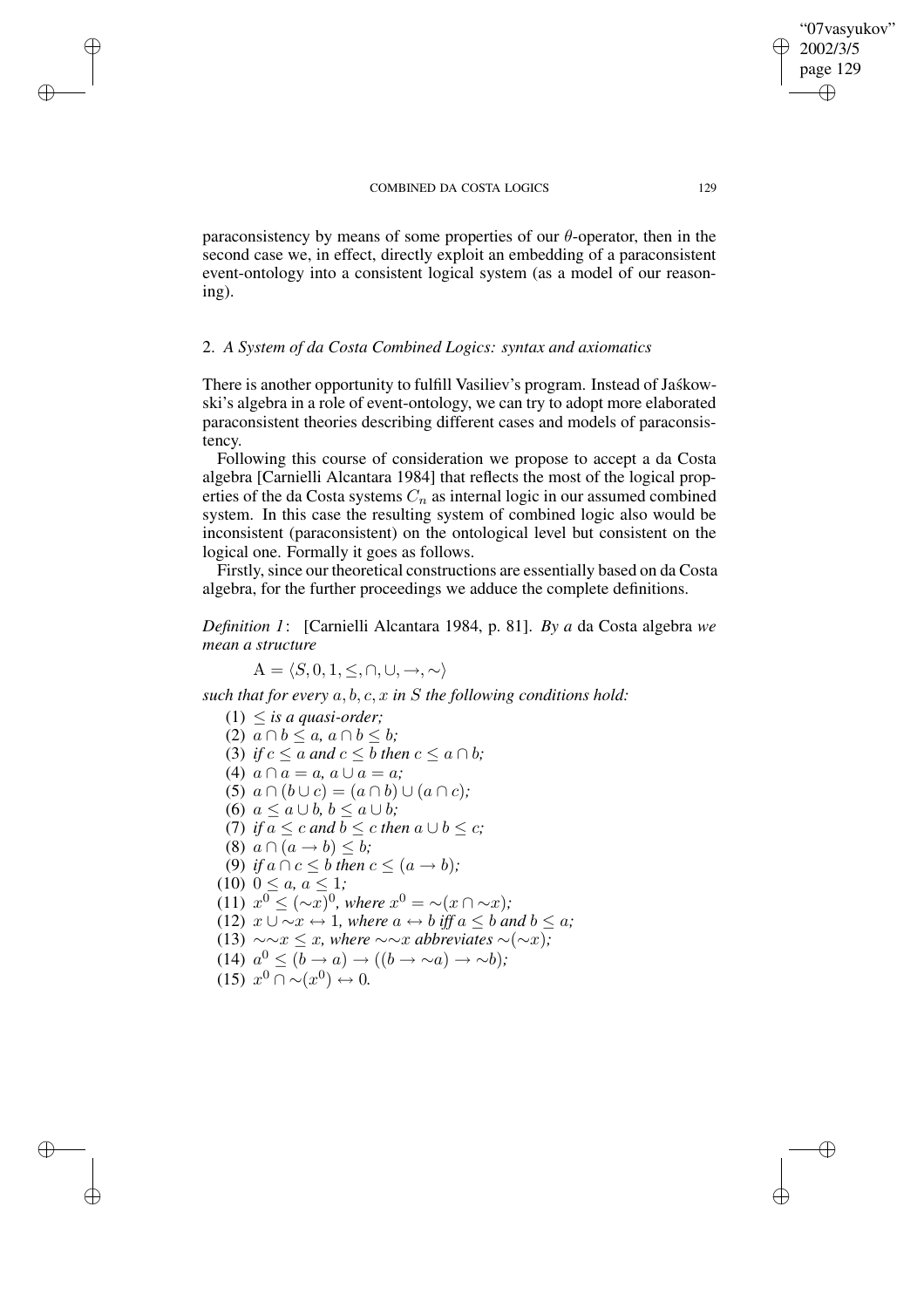paraconsistency by means of some properties of our  $\theta$ -operator, then in the second case we, in effect, directly exploit an embedding of a paraconsistent event-ontology into a consistent logical system (as a model of our reasoning).

### 2. *A System of da Costa Combined Logics: syntax and axiomatics*

There is another opportunity to fulfill Vasiliev's program. Instead of Jaskowski's algebra in a role of event-ontology, we can try to adopt more elaborated paraconsistent theories describing different cases and models of paraconsistency.

Following this course of consideration we propose to accept a da Costa algebra [Carnielli Alcantara 1984] that reflects the most of the logical properties of the da Costa systems  $C_n$  as internal logic in our assumed combined system. In this case the resulting system of combined logic also would be inconsistent (paraconsistent) on the ontological level but consistent on the logical one. Formally it goes as follows.

Firstly, since our theoretical constructions are essentially based on da Costa algebra, for the further proceedings we adduce the complete definitions.

*Definition 1*: [Carnielli Alcantara 1984, p. 81]. *By a* da Costa algebra *we mean a structure*

 $A = \langle S, 0, 1, \leq, \cap, \cup, \rightarrow, \sim \rangle$ 

✐

✐

✐

✐

*such that for every* a, b, c, x *in* S *the following conditions hold:*

 $(1) \leq$  *is a quasi-order*; (2)  $a \cap b \leq a, a \cap b \leq b$ ; (3) *if*  $c \le a$  *and*  $c \le b$  *then*  $c \le a \cap b$ ; (4)  $a \cap a = a$ ,  $a \cup a = a$ ; (5)  $a \cap (b \cup c) = (a \cap b) \cup (a \cap c)$ ; (6)  $a \leq a \cup b, b \leq a \cup b$ ; (7) *if*  $a \leq c$  *and*  $b \leq c$  *then*  $a \cup b \leq c$ ; (8)  $a \cap (a \rightarrow b) \leq b$ ; (9) *if*  $a \cap c \leq b$  *then*  $c \leq (a \rightarrow b)$ *;*  $(10)$   $0 \le a, a \le 1;$ (11)  $x^0 \leq (-x)^0$ , where  $x^0 = \sim (x \cap \sim x)$ ; (12)  $x \cup \sim x \leftrightarrow 1$ *, where*  $a \leftrightarrow b$  *iff*  $a \leq b$  *and*  $b \leq a$ *;* (13)  $\sim \sim x \leq x$ *, where*  $\sim \sim x$  *abbreviates* ∼(∼*x*)*;* (14)  $a^0 \leq (b \rightarrow a) \rightarrow ((b \rightarrow \sim a) \rightarrow \sim b);$  $(15)$   $x^0 \cap \sim (x^0) \leftrightarrow 0.$ 

"07vasyukov" 2002/3/5 page 129

✐

✐

✐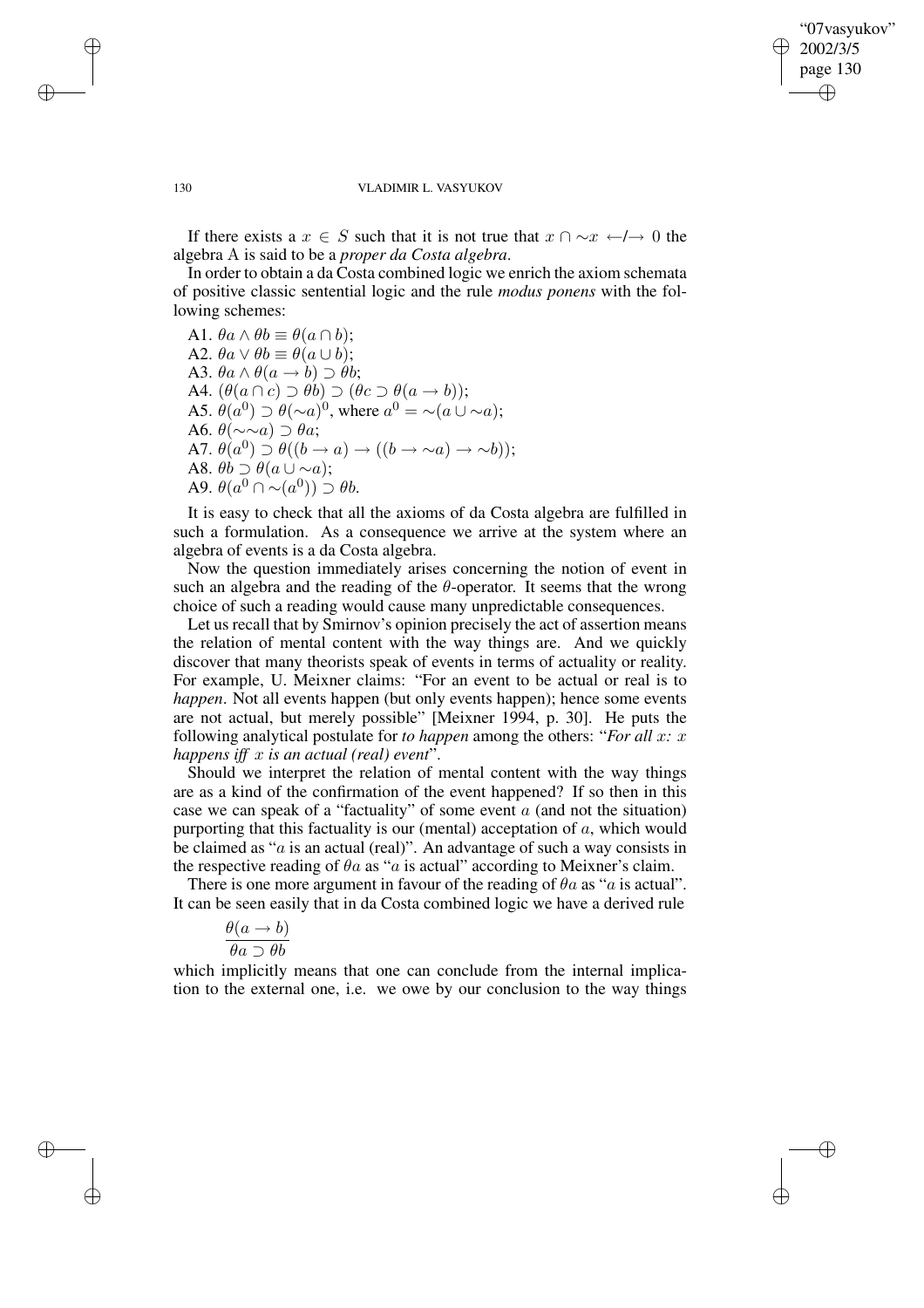✐

✐

#### 130 VLADIMIR L. VASYUKOV

If there exists a  $x \in S$  such that it is not true that  $x \cap \neg x \leftarrow I \rightarrow 0$  the algebra A is said to be a *proper da Costa algebra*.

In order to obtain a da Costa combined logic we enrich the axiom schemata of positive classic sentential logic and the rule *modus ponens* with the following schemes:

A1.  $\theta a \wedge \theta b \equiv \theta (a \cap b);$ A2.  $\theta a \vee \theta b \equiv \theta (a \cup b);$ A3.  $\theta a \wedge \theta (a \rightarrow b) \supset \theta b$ ; A4.  $(\theta(a \cap c) \supset \theta b) \supset (\theta c \supset \theta(a \rightarrow b));$ A5.  $\dot{\theta}(a^0) \supset \theta(\sim a)^0$ , where  $a^0 = \sim (a \cup \sim a)$ ; A6.  $\theta(\sim \sim a) \supset \theta a$ ; A7.  $\theta(a^0) \supset \theta((b \to a) \to ((b \to \sim a) \to \sim b));$ A8.  $\theta \overrightarrow{b} \supset \theta (a \cup \sim a);$ A9.  $\theta(a^0 \cap \neg(a^0)) \supset \theta b$ .

It is easy to check that all the axioms of da Costa algebra are fulfilled in such a formulation. As a consequence we arrive at the system where an algebra of events is a da Costa algebra.

Now the question immediately arises concerning the notion of event in such an algebra and the reading of the  $\theta$ -operator. It seems that the wrong choice of such a reading would cause many unpredictable consequences.

Let us recall that by Smirnov's opinion precisely the act of assertion means the relation of mental content with the way things are. And we quickly discover that many theorists speak of events in terms of actuality or reality. For example, U. Meixner claims: "For an event to be actual or real is to *happen*. Not all events happen (but only events happen); hence some events are not actual, but merely possible" [Meixner 1994, p. 30]. He puts the following analytical postulate for *to happen* among the others: "*For all* x*:* x *happens iff* x *is an actual (real) event*".

Should we interpret the relation of mental content with the way things are as a kind of the confirmation of the event happened? If so then in this case we can speak of a "factuality" of some event  $a$  (and not the situation) purporting that this factuality is our (mental) acceptation of  $a$ , which would be claimed as " $a$  is an actual (real)". An advantage of such a way consists in the respective reading of  $\theta$ a as "a is actual" according to Meixner's claim.

There is one more argument in favour of the reading of  $\theta a$  as "a is actual". It can be seen easily that in da Costa combined logic we have a derived rule

$$
\frac{\theta(a \to b)}{\theta a \supset \theta b}
$$

which implicitly means that one can conclude from the internal implication to the external one, i.e. we owe by our conclusion to the way things

✐

✐

✐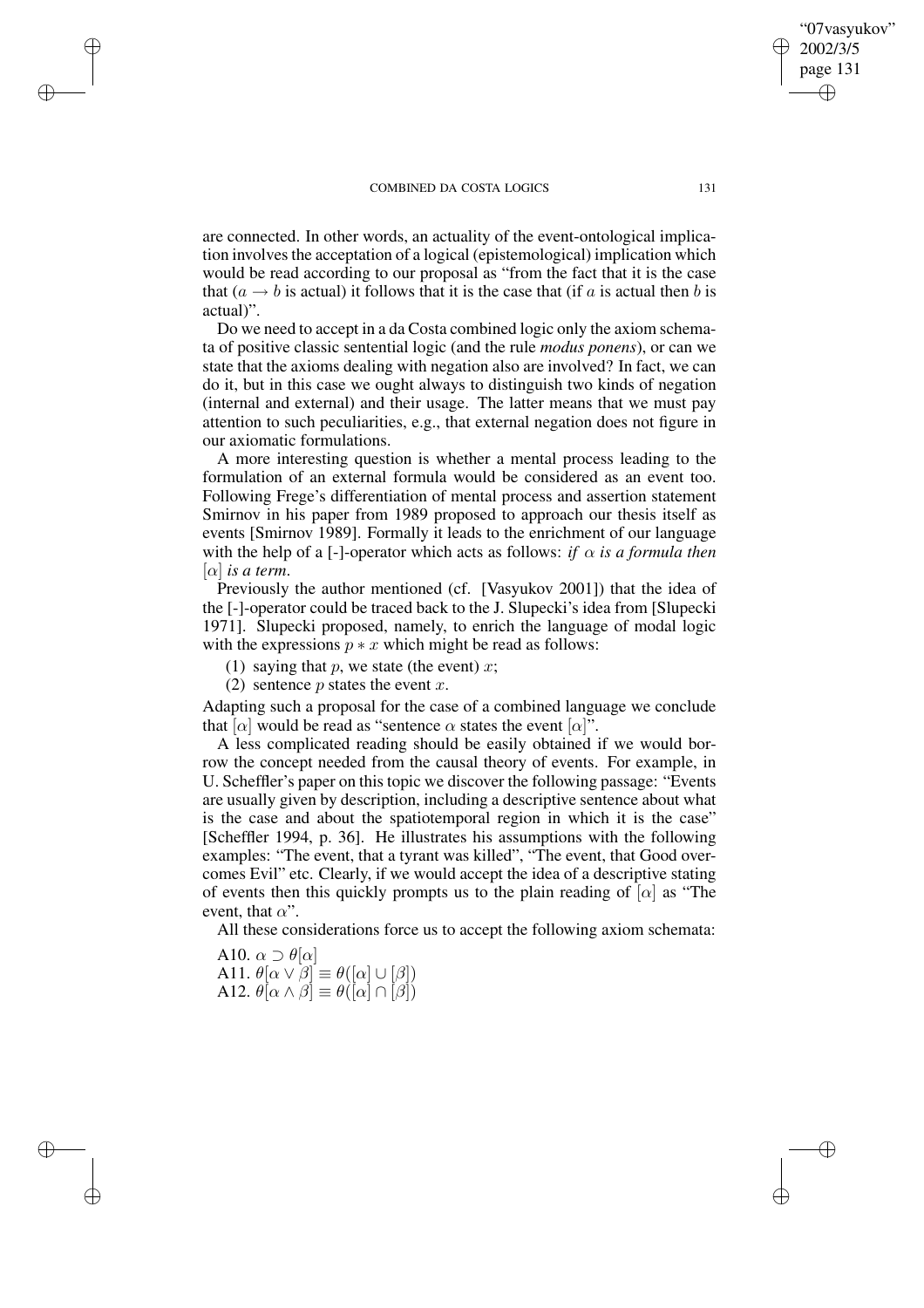are connected. In other words, an actuality of the event-ontological implication involves the acceptation of a logical (epistemological) implication which would be read according to our proposal as "from the fact that it is the case that  $(a \rightarrow b$  is actual) it follows that it is the case that (if a is actual then b is actual)".

Do we need to accept in a da Costa combined logic only the axiom schemata of positive classic sentential logic (and the rule *modus ponens*), or can we state that the axioms dealing with negation also are involved? In fact, we can do it, but in this case we ought always to distinguish two kinds of negation (internal and external) and their usage. The latter means that we must pay attention to such peculiarities, e.g., that external negation does not figure in our axiomatic formulations.

A more interesting question is whether a mental process leading to the formulation of an external formula would be considered as an event too. Following Frege's differentiation of mental process and assertion statement Smirnov in his paper from 1989 proposed to approach our thesis itself as events [Smirnov 1989]. Formally it leads to the enrichment of our language with the help of a [-]-operator which acts as follows: *if*  $\alpha$  *is a formula then*  $[\alpha]$  *is a term.* 

Previously the author mentioned (cf. [Vasyukov 2001]) that the idea of the [-]-operator could be traced back to the J. Slupecki's idea from [Slupecki 1971]. Slupecki proposed, namely, to enrich the language of modal logic with the expressions  $p * x$  which might be read as follows:

(1) saying that p, we state (the event) x;

(2) sentence  $p$  states the event  $x$ .

✐

✐

✐

✐

Adapting such a proposal for the case of a combined language we conclude that  $\alpha$  would be read as "sentence  $\alpha$  states the event  $\alpha$ ".

A less complicated reading should be easily obtained if we would borrow the concept needed from the causal theory of events. For example, in U. Scheffler's paper on this topic we discover the following passage: "Events are usually given by description, including a descriptive sentence about what is the case and about the spatiotemporal region in which it is the case" [Scheffler 1994, p. 36]. He illustrates his assumptions with the following examples: "The event, that a tyrant was killed", "The event, that Good overcomes Evil" etc. Clearly, if we would accept the idea of a descriptive stating of events then this quickly prompts us to the plain reading of  $[\alpha]$  as "The event, that  $\alpha$ ".

All these considerations force us to accept the following axiom schemata:

A10.  $\alpha \supset \theta[\alpha]$ A11.  $\theta[\alpha \vee \beta] \equiv \theta([\alpha] \cup [\beta])$ A12.  $\theta[\alpha \wedge \beta] \equiv \theta([\alpha] \cap [\beta])$ 

"07vasyukov" 2002/3/5 page 131

✐

✐

✐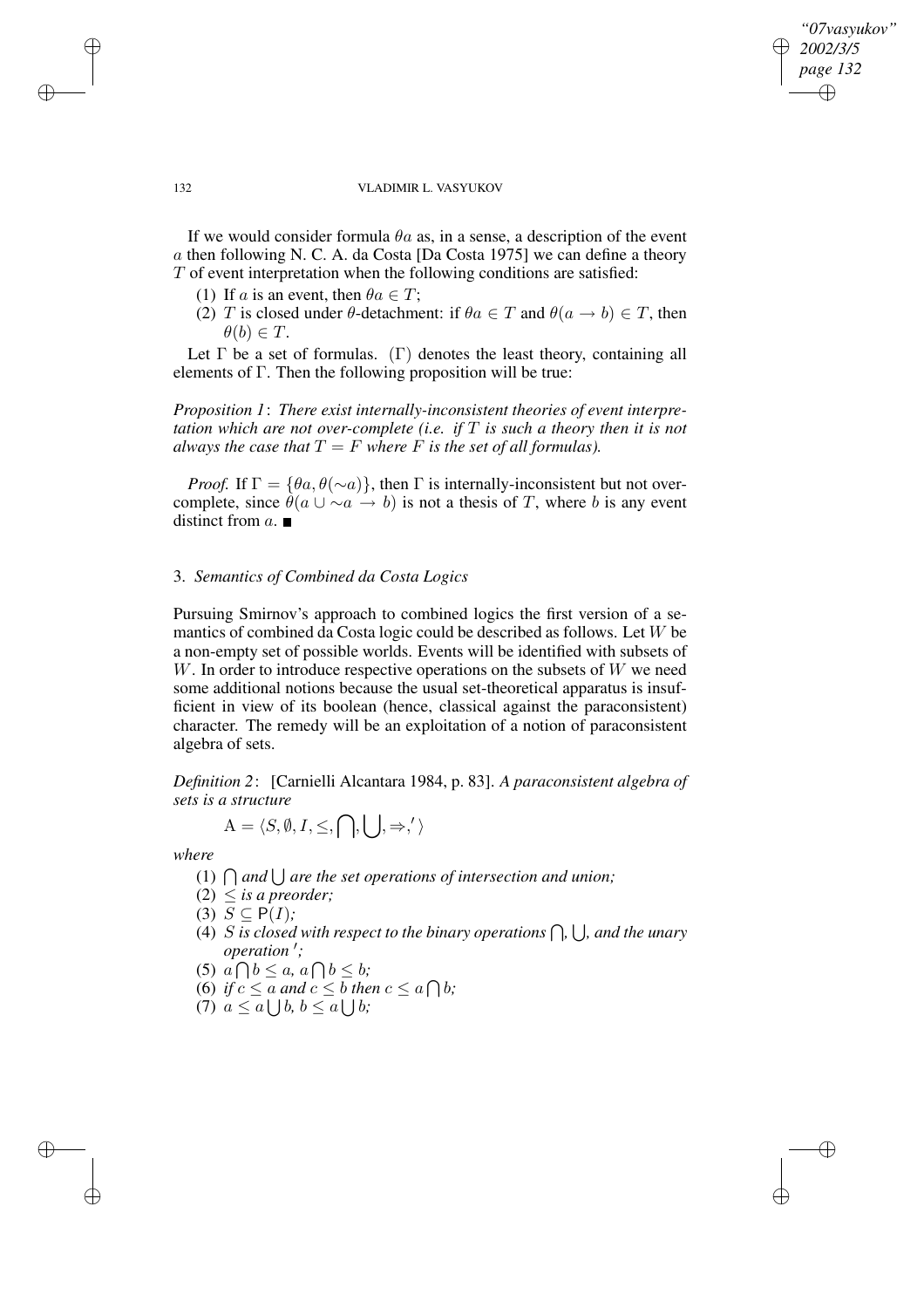*"07vasyukov" 2002/3/5 page 132* ✐ ✐

✐

✐

#### 132 VLADIMIR L. VASYUKOV

If we would consider formula  $\theta$ a as, in a sense, a description of the event a then following N. C. A. da Costa [Da Costa 1975] we can define a theory  $T$  of event interpretation when the following conditions are satisfied:

- (1) If a is an event, then  $\theta a \in T$ ;
- (2) T is closed under  $\theta$ -detachment: if  $\theta a \in T$  and  $\theta (a \rightarrow b) \in T$ , then  $\theta(b) \in T$ .

Let  $\Gamma$  be a set of formulas. ( $\Gamma$ ) denotes the least theory, containing all elements of Γ. Then the following proposition will be true:

*Proposition 1*: *There exist internally-inconsistent theories of event interpretation which are not over-complete (i.e. if* T *is such a theory then it is not always the case that*  $T = F$  *where*  $F$  *is the set of all formulas).* 

*Proof.* If  $\Gamma = {\theta a, \theta(\sim a)}$ , then  $\Gamma$  is internally-inconsistent but not overcomplete, since  $\hat{\theta}(a \cup \sim a \rightarrow b)$  is not a thesis of T, where b is any event distinct from  $a$ .

## 3. *Semantics of Combined da Costa Logics*

Pursuing Smirnov's approach to combined logics the first version of a semantics of combined da Costa logic could be described as follows. Let W be a non-empty set of possible worlds. Events will be identified with subsets of  $W$ . In order to introduce respective operations on the subsets of  $W$  we need some additional notions because the usual set-theoretical apparatus is insufficient in view of its boolean (hence, classical against the paraconsistent) character. The remedy will be an exploitation of a notion of paraconsistent algebra of sets.

*Definition 2*: [Carnielli Alcantara 1984, p. 83]. *A paraconsistent algebra of sets is a structure*

$$
\mathbf{A}=\langle S,\emptyset,I,\leq,\bigcap,\bigcup,\Rightarrow,'\,\rangle
$$

*where*

✐

✐

- $(1)$   $\bigcap$  *and*  $\bigcup$  *are the set operations of intersection and union;*
- (2)  $\leq$  *is a preorder*;
- (3)  $S \subseteq P(I)$ ;
- (4) S is closed with respect to the binary operations  $\bigcap$ ,  $\bigcup$ , and the unary *operation'*;
- $(5)$   $a \bigcap b \leq a, a \bigcap b \leq b;$
- (6) if  $c \le a$  and  $c \le b$  then  $c \le a \bigcap b$ ;
- $(7)$   $a \leq a \bigcup b, b \leq a \bigcup b;$

✐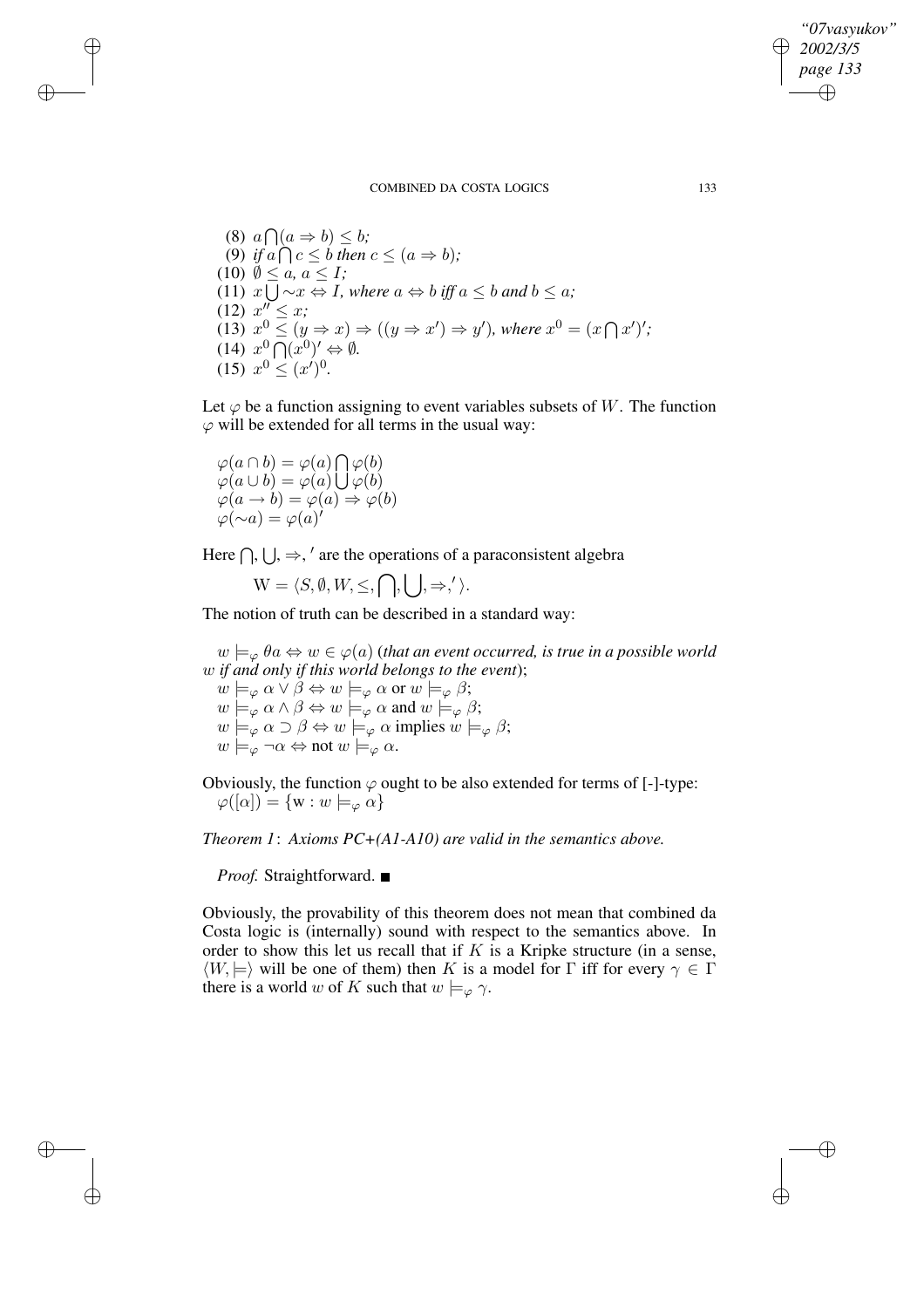$(8)$   $a \bigcap (a \Rightarrow b) \leq b;$ (9) *if*  $a \bigcap c \leq b$  *then*  $c \leq (a \Rightarrow b)$ *;*  $(10)$   $\emptyset \leq a, a \leq I$ ; (11)  $x \cup \neg x \Leftrightarrow I$ *, where*  $a \Leftrightarrow b$  *iff*  $a \leq b$  *and*  $b \leq a$ *;*  $(12)$   $x'' \leq x$ ; (13)  $x^0 \le (y \Rightarrow x) \Rightarrow ((y \Rightarrow x') \Rightarrow y')$ , where  $x^0 = (x \cap x')'$ ;  $(14)$   $x^0 \overline{\bigcap} (x^0)' \Leftrightarrow \emptyset$ .  $(15)$   $x^0 \le (x')^0$ .

Let  $\varphi$  be a function assigning to event variables subsets of W. The function  $\varphi$  will be extended for all terms in the usual way:

 $\varphi(a \cap b) = \varphi(a) \bigcap \varphi(b)$  $\varphi(a\cup b) = \varphi(a)\bigcup \varphi(b)$  $\varphi(a \to b) = \varphi(a) \Rightarrow \varphi(b)$  $\varphi(\sim a) = \varphi(a)$ 

✐

✐

✐

✐

Here  $\bigcap$ ,  $\bigcup$ ,  $\Rightarrow$ , ' are the operations of a paraconsistent algebra

 $W = \langle S, \emptyset, W, \leq, \bigcap, \left| \right|, \Rightarrow, ' \rangle.$ 

The notion of truth can be described in a standard way:

 $w \models_{\varphi} \theta \in \varphi$   $\in \varphi(a)$  (*that an event occurred, is true in a possible world* w *if and only if this world belongs to the event*);  $w \models_{\varphi} \alpha \vee \beta \Leftrightarrow w \models_{\varphi} \alpha \text{ or } w \models_{\varphi} \beta;$  $w \models_{\varphi} \alpha \wedge \beta \Leftrightarrow w \models_{\varphi} \alpha \text{ and } w \models_{\varphi} \beta;$  $w \models_{\varphi} \alpha \supset \beta \Leftrightarrow w \models_{\varphi} \alpha \text{ implies } w \models_{\varphi} \beta;$  $w \models_{\varphi} \neg \alpha \Leftrightarrow \text{not } w \models_{\varphi} \alpha.$ 

Obviously, the function  $\varphi$  ought to be also extended for terms of [-]-type:  $\varphi([\alpha]) = \{w : w \models_{\varphi} \alpha\}$ 

*Theorem 1*: *Axioms PC+(A1-A10) are valid in the semantics above.*

*Proof.* Straightforward. ■

Obviously, the provability of this theorem does not mean that combined da Costa logic is (internally) sound with respect to the semantics above. In order to show this let us recall that if  $K$  is a Kripke structure (in a sense,  $\langle W, \models \rangle$  will be one of them) then K is a model for Γ iff for every  $\gamma \in \Gamma$ there is a world w of K such that  $w \models_{\varphi} \gamma$ .

*"07vasyukov" 2002/3/5 page 133*

✐

✐

✐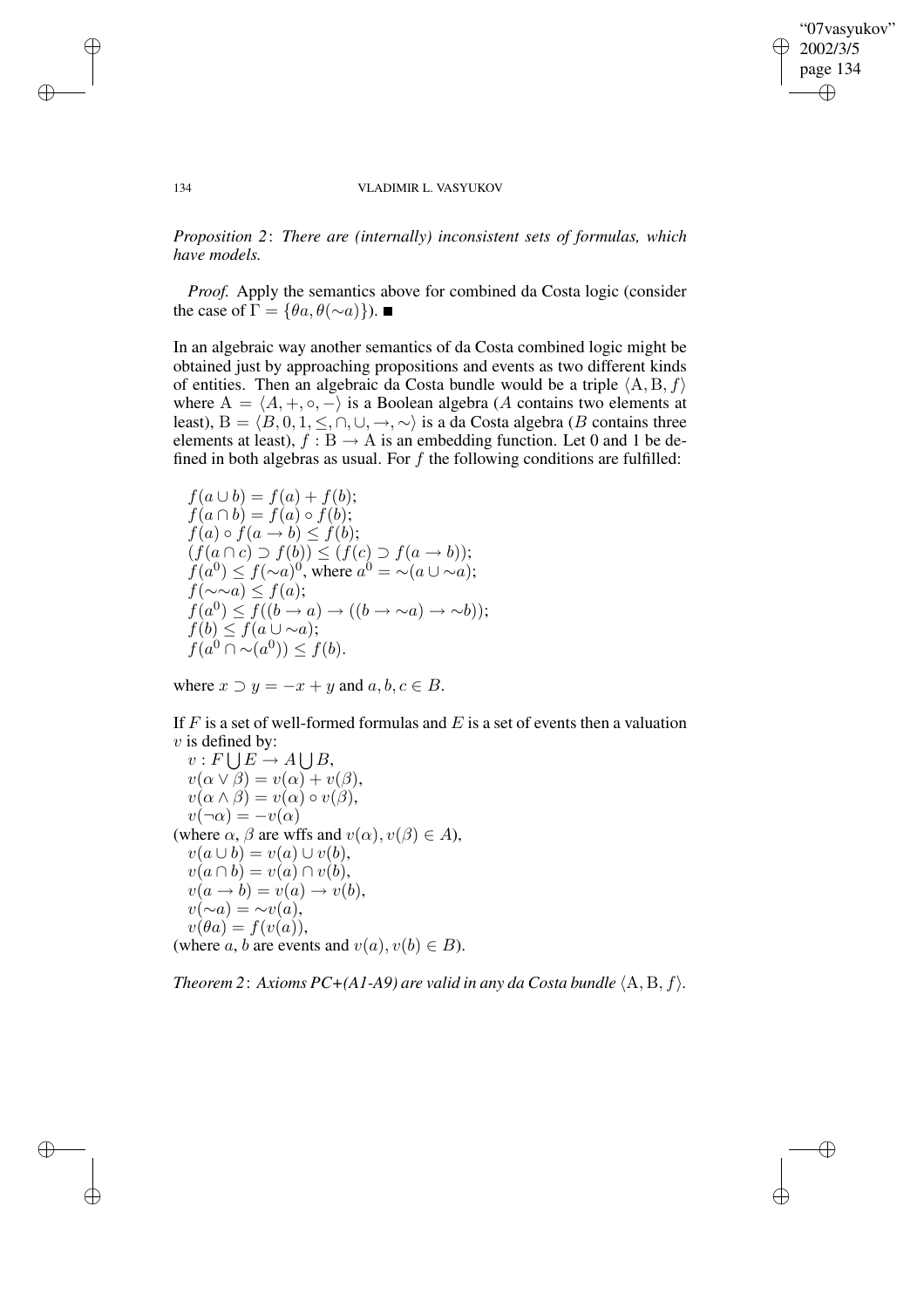✐

✐

#### 134 VLADIMIR L. VASYUKOV

*Proposition 2*: *There are (internally) inconsistent sets of formulas, which have models.*

*Proof.* Apply the semantics above for combined da Costa logic (consider the case of  $\Gamma = {\theta a, \theta (\sim a)}$ .

In an algebraic way another semantics of da Costa combined logic might be obtained just by approaching propositions and events as two different kinds of entities. Then an algebraic da Costa bundle would be a triple  $\langle A, B, f \rangle$ where  $A = \langle A, +, \circ, - \rangle$  is a Boolean algebra (A contains two elements at least), B =  $\langle B, 0, 1, \leq, \cap, \cup, \rightarrow, \sim \rangle$  is a da Costa algebra (B contains three elements at least),  $f : B \to A$  is an embedding function. Let 0 and 1 be defined in both algebras as usual. For  $f$  the following conditions are fulfilled:

 $f(a \cup b) = f(a) + f(b);$  $f(a \cap b) = f(a) \circ f(b);$  $f(a) \circ f(a \to b) \leq f(b);$  $(f(a \cap c) \supset f(b)) \leq (f(c) \supset f(a \rightarrow b));$  $f(a^0) \leq f(\sim a)^0$ , where  $a^0 = \sim (a \cup \sim a)$ ;  $f(\sim \sim a) \leq f(a);$  $f(a^0) \leq f((b \to a) \to ((b \to \sim a) \to \sim b));$  $f(b) \leq f(a \cup \sim a);$  $f(a^0 \cap \sim(a^0)) \leq f(b).$ 

where  $x \supset y = -x + y$  and  $a, b, c \in B$ .

If  $F$  is a set of well-formed formulas and  $E$  is a set of events then a valuation  $v$  is defined by:

 $v: F \bigcup E \to A \bigcup B$ ,  $v(\alpha \vee \beta) = v(\alpha) + v(\beta),$  $v(\alpha \wedge \beta) = v(\alpha) \circ v(\beta),$  $v(\neg \alpha) = -v(\alpha)$ (where  $\alpha$ ,  $\beta$  are wffs and  $v(\alpha)$ ,  $v(\beta) \in A$ ),  $v(a \cup b) = v(a) \cup v(b),$  $v(a \cap b) = v(a) \cap v(b),$  $v(a \rightarrow b) = v(a) \rightarrow v(b),$  $v(\sim a) = \sim v(a),$  $v(\theta a) = f(v(a)),$ (where a, b are events and  $v(a)$ ,  $v(b) \in B$ ).

*Theorem* 2: Axioms  $PC+(A1-A9)$  are valid in any da Costa bundle  $\langle A, B, f \rangle$ .

✐

✐

✐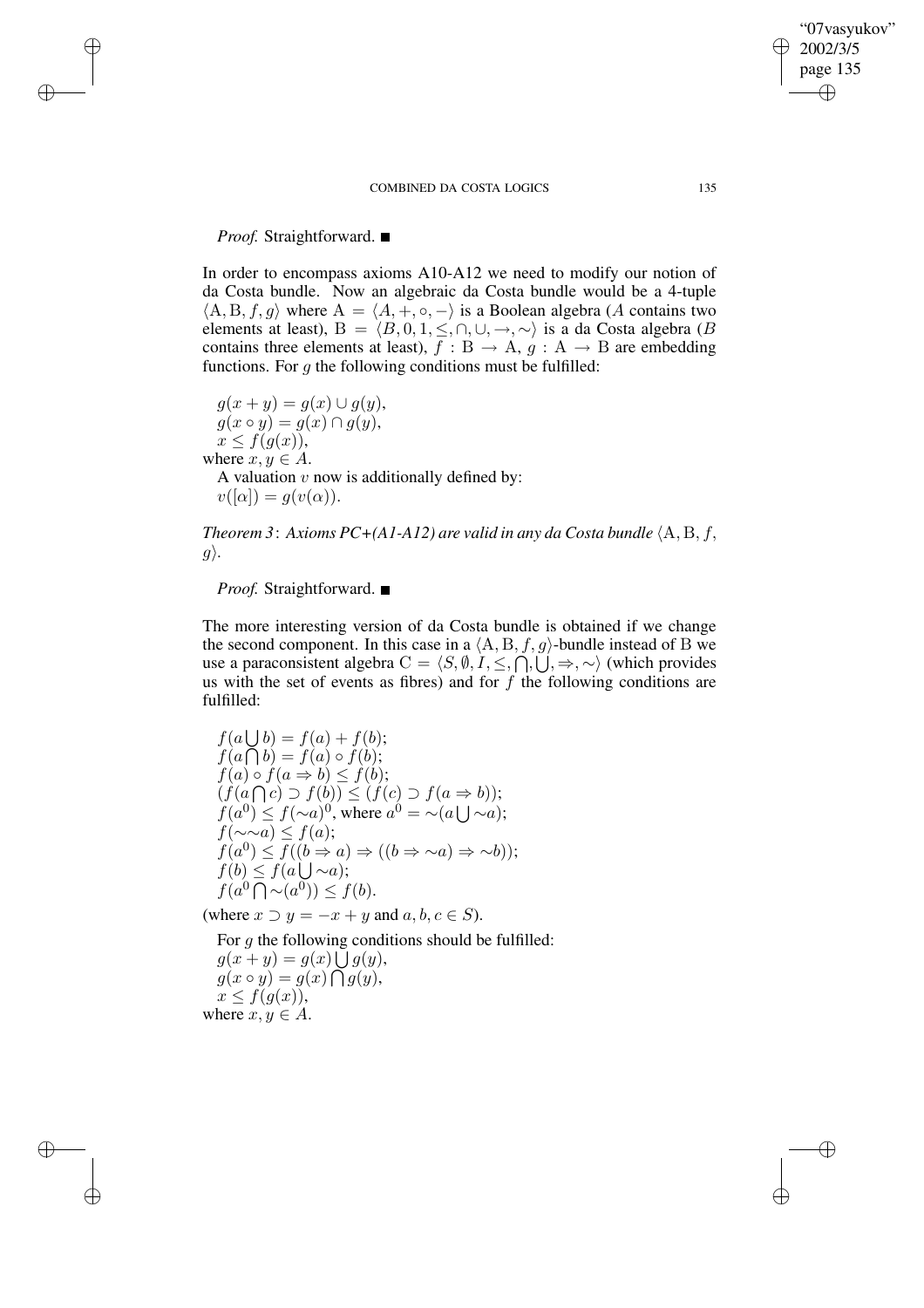## *Proof.* Straightforward. ■

✐

✐

✐

✐

In order to encompass axioms A10-A12 we need to modify our notion of da Costa bundle. Now an algebraic da Costa bundle would be a 4-tuple  $\langle A, B, f, g \rangle$  where  $A = \langle A, +, \circ, - \rangle$  is a Boolean algebra (A contains two elements at least), B =  $\langle B, 0, 1, \leq, \cap, \cup, \rightarrow, \sim \rangle$  is a da Costa algebra (B contains three elements at least),  $f : B \to A$ ,  $g : A \to B$  are embedding functions. For  $q$  the following conditions must be fulfilled:

 $g(x + y) = g(x) \cup g(y),$  $g(x \circ y) = g(x) \cap g(y),$  $x \leq f(g(x)),$ where  $x, y \in A$ . A valuation  $v$  now is additionally defined by:  $v([\alpha]) = g(v(\alpha)).$ 

*Theorem* 3: Axioms  $PC+(A1-A12)$  are valid in any da Costa bundle  $\langle A, B, f, \rangle$  $g$ .

*Proof.* Straightforward. ■

The more interesting version of da Costa bundle is obtained if we change the second component. In this case in a  $\langle A, B, f, g \rangle$ -bundle instead of B we use a paraconsistent algebra  $C = \langle S, \emptyset, I, \leq, \bigcap, \bigcup, \Rightarrow, \sim \rangle$  (which provides us with the set of events as fibres) and for  $f$  the following conditions are fulfilled:

 $f(a \bigcup b) = f(a) + f(b);$  $f(a \bigcap b) = f(a) \circ f(b);$  $f(a) \circ f(a \Rightarrow b) \leq f(b);$  $(f(a \cap c) \supset f(b)) \leq (f(c) \supset f(a \Rightarrow b));$  $f(a^0) \leq f(\sim a)^0$ , where  $a^0 = \sim (a \cup \sim a)$ ;  $f(\sim \sim a) \leq f(a);$  $f(a^0) \leq f((b \Rightarrow a) \Rightarrow ((b \Rightarrow \sim a) \Rightarrow \sim b));$  $f(b) \leq f(a \bigcup \sim a);$  $f(a^0 \overline{\bigcap} \sim(a^0)) \leq f(b).$ 

(where  $x \supset y = -x + y$  and  $a, b, c \in S$ ).

For g the following conditions should be fulfilled:  $g(x+y) = g(x) \bigcup g(y),$  $g(x \circ y) = g(x) \bigcap g(y),$  $x \leq f(g(x)),$ 

where  $x, y \in A$ .

"07vasyukov" 2002/3/5 page 135

✐

✐

✐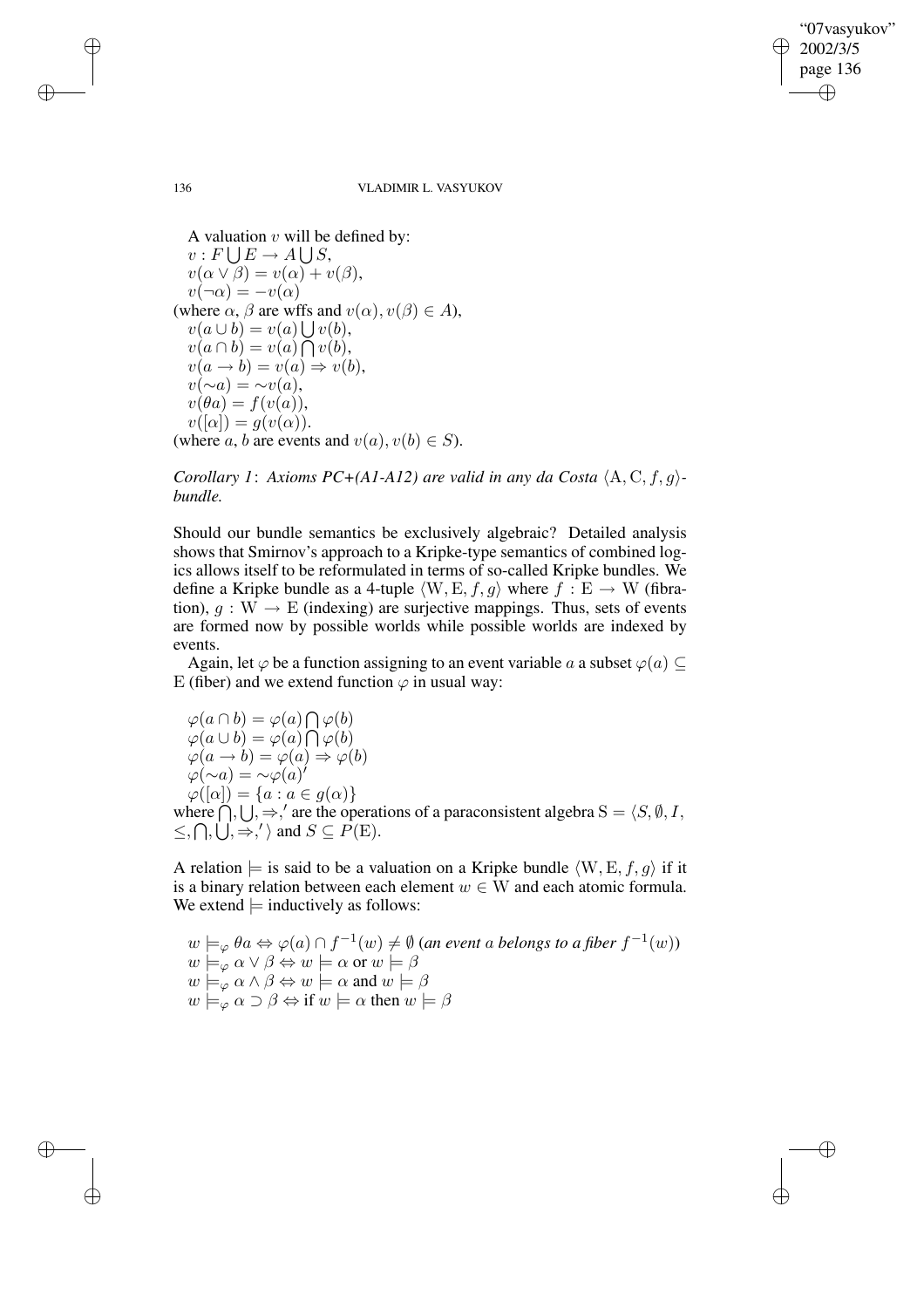✐

✐

#### 136 VLADIMIR L. VASYUKOV

A valuation  $v$  will be defined by:  $v: F \bigcup E \to A \bigcup S$ ,  $v(\alpha \vee \beta) = v(\alpha) + v(\beta),$  $v(\neg \alpha) = -v(\alpha)$ (where  $\alpha$ ,  $\beta$  are wffs and  $v(\alpha)$ ,  $v(\beta) \in A$ ),  $v(a\cup b) = v(a)\bigcup v(b),$  $v(a \cap b) = v(a) \bigcap v(b),$  $v(a \rightarrow b) = v(a) \Rightarrow v(b),$  $v(\sim a) = \sim v(a),$  $v(\theta a) = f(v(a)),$  $v([\alpha]) = g(v(\alpha)).$ (where a, b are events and  $v(a), v(b) \in S$ ).

*Corollary* 1: Axioms  $PC+(A1-A12)$  are valid in any da Costa  $\langle A, C, f, g \rangle$ *bundle.*

Should our bundle semantics be exclusively algebraic? Detailed analysis shows that Smirnov's approach to a Kripke-type semantics of combined logics allows itself to be reformulated in terms of so-called Kripke bundles. We define a Kripke bundle as a 4-tuple  $\langle W, E, f, g \rangle$  where  $f : E \to W$  (fibration),  $g : W \to E$  (indexing) are surjective mappings. Thus, sets of events are formed now by possible worlds while possible worlds are indexed by events.

Again, let  $\varphi$  be a function assigning to an event variable a a subset  $\varphi(a) \subseteq$ E (fiber) and we extend function  $\varphi$  in usual way:

 $\varphi(a \cap b) = \varphi(a) \bigcap \varphi(b)$  $\varphi(a\cup b)=\varphi(a)\bigcap \varphi(b)$  $\varphi(a \to b) = \varphi(a) \Rightarrow \varphi(b)$  $\varphi(\sim a) = \sim \varphi(a)$  $\varphi([\alpha]) = \{a : a \in g(\alpha)\}\$ where  $\bigcap_{i=1}^{\infty}$ ,  $\bigcup_{i=1}^{\infty}$ , are the operations of a paraconsistent algebra  $S = \langle S, \emptyset, I, \emptyset \rangle$  $\leq$ ,  $\bigcap$ ,  $\bigcup$ ,  $\Rightarrow$ ,  $\}'$  and  $S \subseteq P(E)$ .

A relation  $\models$  is said to be a valuation on a Kripke bundle  $\langle W, E, f, g \rangle$  if it is a binary relation between each element  $w \in W$  and each atomic formula. We extend  $\models$  inductively as follows:

$$
w \models_{\varphi} \theta a \Leftrightarrow \varphi(a) \cap f^{-1}(w) \neq \emptyset \text{ (an event a belongs to a fiber } f^{-1}(w))
$$
  
\n
$$
w \models_{\varphi} \alpha \lor \beta \Leftrightarrow w \models \alpha \text{ or } w \models \beta
$$
  
\n
$$
w \models_{\varphi} \alpha \land \beta \Leftrightarrow w \models \alpha \text{ and } w \models \beta
$$
  
\n
$$
w \models_{\varphi} \alpha \supset \beta \Leftrightarrow \text{if } w \models \alpha \text{ then } w \models \beta
$$

✐

✐

✐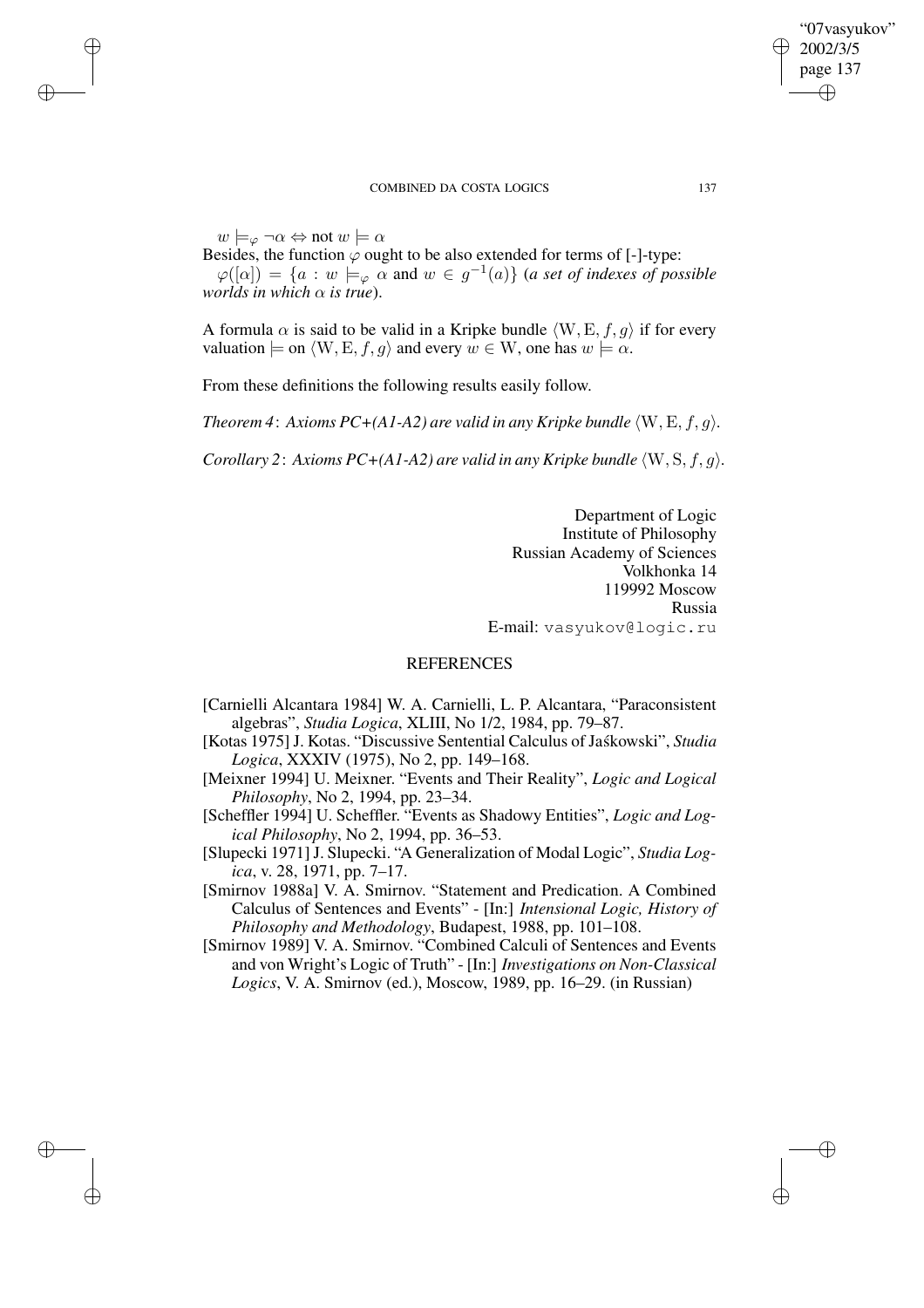$w \models_{\varphi} \neg \alpha \Leftrightarrow \text{not } w \models \alpha$ 

✐

✐

✐

✐

Besides, the function  $\varphi$  ought to be also extended for terms of [-]-type:

 $\varphi([\alpha]) = \{a : w \models_{\varphi} \alpha \text{ and } w \in g^{-1}(a)\}$  (*a set of indexes of possible worlds in which* α *is true*).

A formula  $\alpha$  is said to be valid in a Kripke bundle  $\langle W, E, f, g \rangle$  if for every valuation  $\models$  on  $\langle W, E, f, g \rangle$  and every  $w \in W$ , one has  $w \models \alpha$ .

From these definitions the following results easily follow.

*Theorem* 4: Axioms  $PC+(A1-A2)$  are valid in any Kripke bundle  $\langle W, E, f, g \rangle$ .

*Corollary* 2: *Axioms*  $PC+(A1-A2)$  *are valid in any Kripke bundle*  $\langle W, S, f, q \rangle$ *.* 

Department of Logic Institute of Philosophy Russian Academy of Sciences Volkhonka 14 119992 Moscow Russia E-mail: vasyukov@logic.ru

## **REFERENCES**

- [Carnielli Alcantara 1984] W. A. Carnielli, L. P. Alcantara, "Paraconsistent algebras", *Studia Logica*, XLIII, No 1/2, 1984, pp. 79–87.
- [Kotas 1975] J. Kotas. "Discussive Sentential Calculus of Jask´ owski", *Studia Logica*, XXXIV (1975), No 2, pp. 149–168.
- [Meixner 1994] U. Meixner. "Events and Their Reality", *Logic and Logical Philosophy*, No 2, 1994, pp. 23–34.
- [Scheffler 1994] U. Scheffler. "Events as Shadowy Entities", *Logic and Logical Philosophy*, No 2, 1994, pp. 36–53.
- [Slupecki 1971]J. Slupecki. "A Generalization of Modal Logic", *Studia Logica*, v. 28, 1971, pp. 7–17.
- [Smirnov 1988a] V. A. Smirnov. "Statement and Predication. A Combined Calculus of Sentences and Events" - [In:] *Intensional Logic, History of Philosophy and Methodology*, Budapest, 1988, pp. 101–108.
- [Smirnov 1989] V. A. Smirnov. "Combined Calculi of Sentences and Events and von Wright's Logic of Truth" - [In:] *Investigations on Non-Classical Logics*, V. A. Smirnov (ed.), Moscow, 1989, pp. 16–29. (in Russian)

"07vasyukov" 2002/3/5 page 137

✐

✐

✐